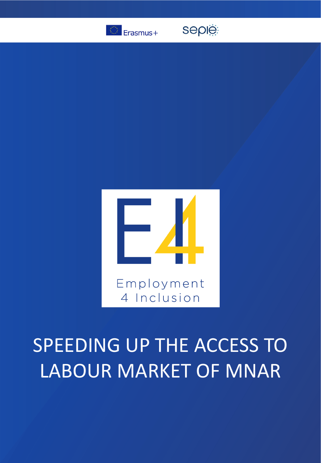

seple



## SPEEDING UP THE ACCESS TO LABOUR MARKET OF MNAR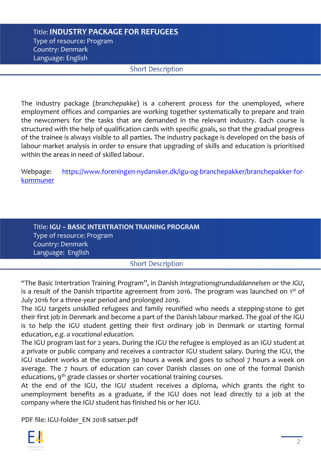## Title: **INDUSTRY PACKAGE FOR REFUGEES** Type of resource: Program Country: Denmark Language: English

## **Short Description**

The industry package (*branchepakke*) is a coherent process for the unemployed, where employment offices and companies are working together systematically to prepare and train the newcomers for the tasks that are demanded in the relevant industry. Each course is structured with the help of qualification cards with specific goals, so that the gradual progress of the trainee is always visible to all parties. The industry package is developed on the basis of labour market analysis in order to ensure that upgrading of skills and education is prioritised within the areas in need of skilled labour.

Webpage: [https://www.foreningen-nydansker.dk/igu-og-branchepakker/branchepakker-for](https://www.foreningen-nydansker.dk/igu-og-branchepakker/branchepakker-for-kommuner)kommuner

| Title: IGU - BASIC INTERTRATION TRAINING PROGRAM |  |
|--------------------------------------------------|--|
| Type of resource: Program                        |  |
| Country: Denmark                                 |  |
| Language: English                                |  |
|                                                  |  |

**Short Description** 

"The Basic Intertration Training Program", in Danish *Integrationsgrunduddannelsen* or the *IGU*, is a result of the Danish tripartite agreement from 2016. The program was launched on 1<sup>st</sup> of July 2016 for a three-year period and prolonged 2019.

The IGU targets unskilled refugees and family reunified who needs a stepping-stone to get their first job in Denmark and become a part of the Danish labour marked. The goal of the IGU is to help the IGU student getting their first ordinary job in Denmark or starting formal education, *e.g. a vocational education.*

The IGU program last for 2 years. During the IGU the refugee is employed as an IGU student at a private or public company and receives a contractor IGU student salary. During the IGU, the IGU student works at the company 30 hours a week and goes to school 7 hours a week on average. The 7 hours of education can cover Danish classes on one of the formal Danish educations, 9<sup>th</sup> grade classes or shorter vocational training courses.

At the end of the IGU, the IGU student receives a diploma, which grants the right to unemployment benefits as a graduate, if the IGU does not lead directly to a job at the company where the IGU student has finished his or her IGU.

PDF file: IGU-folder\_EN 2018 satser.pdf